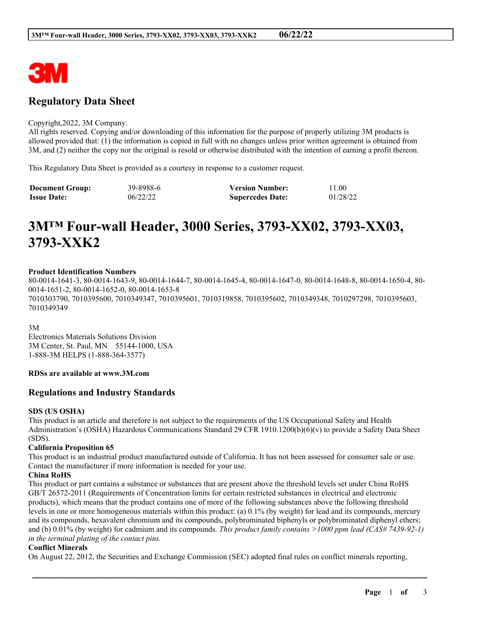

# **Regulatory Data Sheet**

#### Copyright,2022, 3M Company.

All rights reserved. Copying and/or downloading of this information for the purpose of properly utilizing 3M products is allowed provided that: (1) the information is copied in full with no changes unless prior written agreement is obtained from 3M, and (2) neither the copy nor the original is resold or otherwise distributed with the intention of earning a profit thereon.

This Regulatory Data Sheet is provided as a courtesy in response to a customer request.

| <b>Document Group:</b> | 39-8988-6 | <b>Version Number:</b>  | 11.00    |
|------------------------|-----------|-------------------------|----------|
| <b>Issue Date:</b>     | 06/22/22  | <b>Supercedes Date:</b> | 01/28/22 |

# **3M™ Four-wall Header, 3000 Series, 3793-XX02, 3793-XX03, 3793-XXK2**

#### **Product Identification Numbers**

80-0014-1641-3, 80-0014-1643-9, 80-0014-1644-7, 80-0014-1645-4, 80-0014-1647-0, 80-0014-1648-8, 80-0014-1650-4, 80- 0014-1651-2, 80-0014-1652-0, 80-0014-1653-8 7010303790, 7010395600, 7010349347, 7010395601, 7010319858, 7010395602, 7010349348, 7010297298, 7010395603, 7010349349

3M

Electronics Materials Solutions Division 3M Center, St. Paul, MN 55144-1000, USA 1-888-3M HELPS (1-888-364-3577)

# **RDSs are available at www.3M.com**

# **Regulations and Industry Standards**

#### **SDS (US OSHA)**

This product is an article and therefore is not subject to the requirements of the US Occupational Safety and Health Administration's (OSHA) Hazardous Communications Standard 29 CFR 1910.1200(b)(6)(v) to provide a Safety Data Sheet (SDS).

#### **California Proposition 65**

This product is an industrial product manufactured outside of California. It has not been assessed for consumer sale or use. Contact the manufacturer if more information is needed for your use.

#### **China RoHS**

This product or part contains a substance or substances that are present above the threshold levels set under China RoHS GB/T 26572-2011 (Requirements of Concentration limits for certain restricted substances in electrical and electronic products), which means that the product contains one of more of the following substances above the following threshold levels in one or more homogeneous materials within this product: (a) 0.1% (by weight) for lead and its compounds, mercury and its compounds, hexavalent chromium and its compounds, polybrominated biphenyls or polybrominated diphenyl ethers; and (b) 0.01% (by weight) for cadmium and its compounds. *This product family contains >1000 ppm lead (CAS# 7439-92-1) in the terminal plating of the contact pins.*

#### **Conflict Minerals**

On August 22, 2012, the Securities and Exchange Commission (SEC) adopted final rules on conflict minerals reporting,

\_\_\_\_\_\_\_\_\_\_\_\_\_\_\_\_\_\_\_\_\_\_\_\_\_\_\_\_\_\_\_\_\_\_\_\_\_\_\_\_\_\_\_\_\_\_\_\_\_\_\_\_\_\_\_\_\_\_\_\_\_\_\_\_\_\_\_\_\_\_\_\_\_\_\_\_\_\_\_\_\_\_\_\_\_\_\_\_\_\_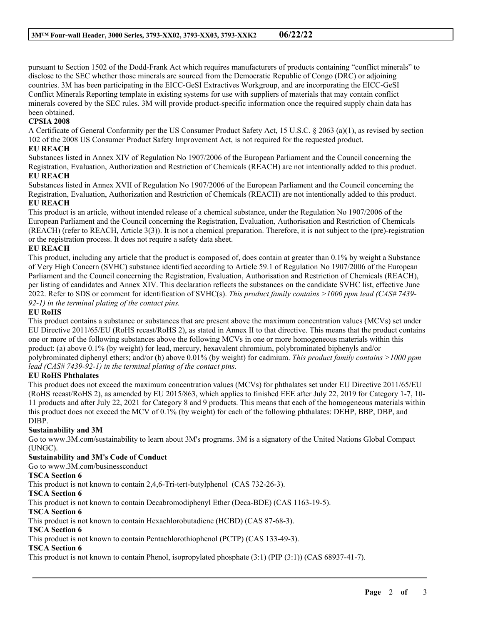pursuant to Section 1502 of the Dodd-Frank Act which requires manufacturers of products containing "conflict minerals" to disclose to the SEC whether those minerals are sourced from the Democratic Republic of Congo (DRC) or adjoining countries. 3M has been participating in the EICC-GeSI Extractives Workgroup, and are incorporating the EICC-GeSI Conflict Minerals Reporting template in existing systems for use with suppliers of materials that may contain conflict minerals covered by the SEC rules. 3M will provide product-specific information once the required supply chain data has been obtained.

# **CPSIA 2008**

A Certificate of General Conformity per the US Consumer Product Safety Act, 15 U.S.C. § 2063 (a)(1), as revised by section 102 of the 2008 US Consumer Product Safety Improvement Act, is not required for the requested product.

# **EU REACH**

Substances listed in Annex XIV of Regulation No 1907/2006 of the European Parliament and the Council concerning the Registration, Evaluation, Authorization and Restriction of Chemicals (REACH) are not intentionally added to this product.

# **EU REACH**

Substances listed in Annex XVII of Regulation No 1907/2006 of the European Parliament and the Council concerning the Registration, Evaluation, Authorization and Restriction of Chemicals (REACH) are not intentionally added to this product. **EU REACH**

This product is an article, without intended release of a chemical substance, under the Regulation No 1907/2006 of the European Parliament and the Council concerning the Registration, Evaluation, Authorisation and Restriction of Chemicals (REACH) (refer to REACH, Article 3(3)). It is not a chemical preparation. Therefore, it is not subject to the (pre)-registration or the registration process. It does not require a safety data sheet.

# **EU REACH**

This product, including any article that the product is composed of, does contain at greater than 0.1% by weight a Substance of Very High Concern (SVHC) substance identified according to Article 59.1 of Regulation No 1907/2006 of the European Parliament and the Council concerning the Registration, Evaluation, Authorisation and Restriction of Chemicals (REACH), per listing of candidates and Annex XIV. This declaration reflects the substances on the candidate SVHC list, effective June 2022. Refer to SDS or comment for identification of SVHC(s). *This product family contains >1000 ppm lead (CAS# 7439- 92-1) in the terminal plating of the contact pins.*

# **EU RoHS**

This product contains a substance or substances that are present above the maximum concentration values (MCVs) set under EU Directive 2011/65/EU (RoHS recast/RoHS 2), as stated in Annex II to that directive. This means that the product contains one or more of the following substances above the following MCVs in one or more homogeneous materials within this product: (a) above 0.1% (by weight) for lead, mercury, hexavalent chromium, polybrominated biphenyls and/or polybrominated diphenyl ethers; and/or (b) above 0.01% (by weight) for cadmium. *This product family contains >1000 ppm lead (CAS# 7439-92-1) in the terminal plating of the contact pins.*

# **EU RoHS Phthalates**

This product does not exceed the maximum concentration values (MCVs) for phthalates set under EU Directive 2011/65/EU (RoHS recast/RoHS 2), as amended by EU 2015/863, which applies to finished EEE after July 22, 2019 for Category 1-7, 10- 11 products and after July 22, 2021 for Category 8 and 9 products. This means that each of the homogeneous materials within this product does not exceed the MCV of 0.1% (by weight) for each of the following phthalates: DEHP, BBP, DBP, and DIBP.

### **Sustainability and 3M**

Go to www.3M.com/sustainability to learn about 3M's programs. 3M is a signatory of the United Nations Global Compact (UNGC).

\_\_\_\_\_\_\_\_\_\_\_\_\_\_\_\_\_\_\_\_\_\_\_\_\_\_\_\_\_\_\_\_\_\_\_\_\_\_\_\_\_\_\_\_\_\_\_\_\_\_\_\_\_\_\_\_\_\_\_\_\_\_\_\_\_\_\_\_\_\_\_\_\_\_\_\_\_\_\_\_\_\_\_\_\_\_\_\_\_\_

# **Sustainability and 3M's Code of Conduct**

Go to www.3M.com/businessconduct

# **TSCA Section 6**

This product is not known to contain 2,4,6-Tri-tert-butylphenol (CAS 732-26-3).

# **TSCA Section 6**

This product is not known to contain Decabromodiphenyl Ether (Deca-BDE) (CAS 1163-19-5).

# **TSCA Section 6**

This product is not known to contain Hexachlorobutadiene (HCBD) (CAS 87-68-3).

#### **TSCA Section 6**

This product is not known to contain Pentachlorothiophenol (PCTP) (CAS 133-49-3).

#### **TSCA Section 6**

This product is not known to contain Phenol, isopropylated phosphate (3:1) (PIP (3:1)) (CAS 68937-41-7).